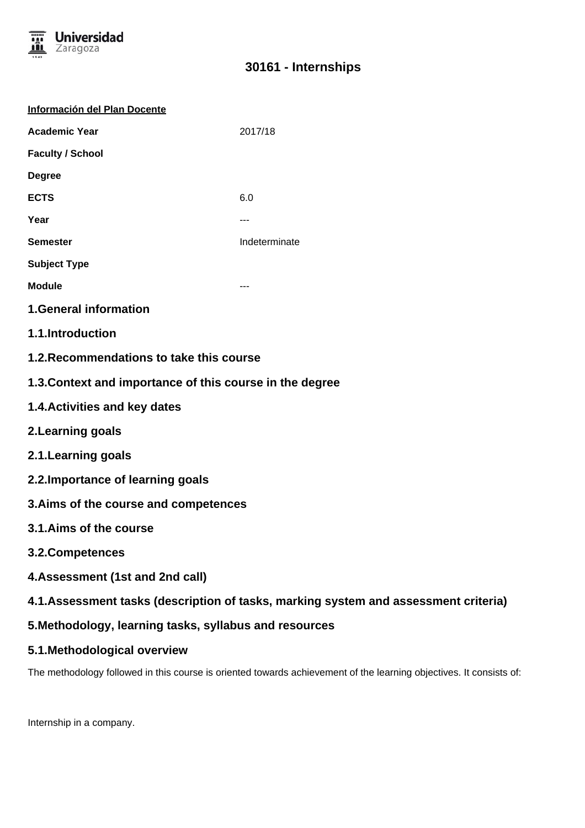

# **30161 - Internships**

| Información del Plan Docente                                                         |               |
|--------------------------------------------------------------------------------------|---------------|
| <b>Academic Year</b>                                                                 | 2017/18       |
| <b>Faculty / School</b>                                                              |               |
| <b>Degree</b>                                                                        |               |
| <b>ECTS</b>                                                                          | 6.0           |
| Year                                                                                 | ---           |
| <b>Semester</b>                                                                      | Indeterminate |
| <b>Subject Type</b>                                                                  |               |
| <b>Module</b>                                                                        |               |
| <b>1.General information</b>                                                         |               |
| 1.1.Introduction                                                                     |               |
| 1.2. Recommendations to take this course                                             |               |
| 1.3. Context and importance of this course in the degree                             |               |
| 1.4. Activities and key dates                                                        |               |
| 2. Learning goals                                                                    |               |
| 2.1. Learning goals                                                                  |               |
| 2.2. Importance of learning goals                                                    |               |
| 3. Aims of the course and competences                                                |               |
| 3.1.Aims of the course                                                               |               |
| 3.2. Competences                                                                     |               |
| 4. Assessment (1st and 2nd call)                                                     |               |
| 4.1. Assessment tasks (description of tasks, marking system and assessment criteria) |               |
| 5. Methodology, learning tasks, syllabus and resources                               |               |
| 5.1. Methodological overview                                                         |               |

The methodology followed in this course is oriented towards achievement of the learning objectives. It consists of:

Internship in a company.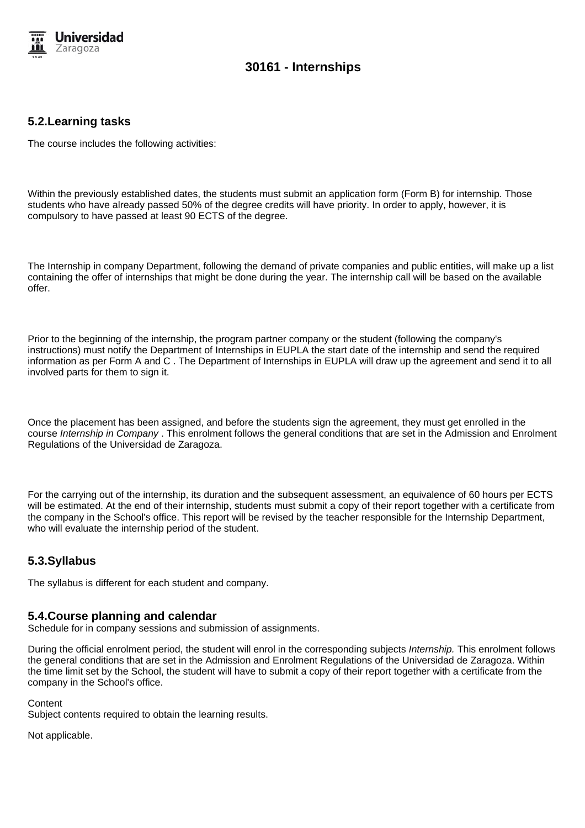

## **30161 - Internships**

### **5.2.Learning tasks**

The course includes the following activities:

Within the previously established dates, the students must submit an application form (Form B) for internship. Those students who have already passed 50% of the degree credits will have priority. In order to apply, however, it is compulsory to have passed at least 90 ECTS of the degree.

The Internship in company Department, following the demand of private companies and public entities, will make up a list containing the offer of internships that might be done during the year. The internship call will be based on the available offer.

Prior to the beginning of the internship, the program partner company or the student (following the company's instructions) must notify the Department of Internships in EUPLA the start date of the internship and send the required information as per Form A and C . The Department of Internships in EUPLA will draw up the agreement and send it to all involved parts for them to sign it.

Once the placement has been assigned, and before the students sign the agreement, they must get enrolled in the course Internship in Company . This enrolment follows the general conditions that are set in the Admission and Enrolment Regulations of the Universidad de Zaragoza.

For the carrying out of the internship, its duration and the subsequent assessment, an equivalence of 60 hours per ECTS will be estimated. At the end of their internship, students must submit a copy of their report together with a certificate from the company in the School's office. This report will be revised by the teacher responsible for the Internship Department, who will evaluate the internship period of the student.

#### **5.3.Syllabus**

The syllabus is different for each student and company.

#### **5.4.Course planning and calendar**

Schedule for in company sessions and submission of assignments.

During the official enrolment period, the student will enrol in the corresponding subjects Internship. This enrolment follows the general conditions that are set in the Admission and Enrolment Regulations of the Universidad de Zaragoza. Within the time limit set by the School, the student will have to submit a copy of their report together with a certificate from the company in the School's office.

#### **Content**

Subject contents required to obtain the learning results.

Not applicable.